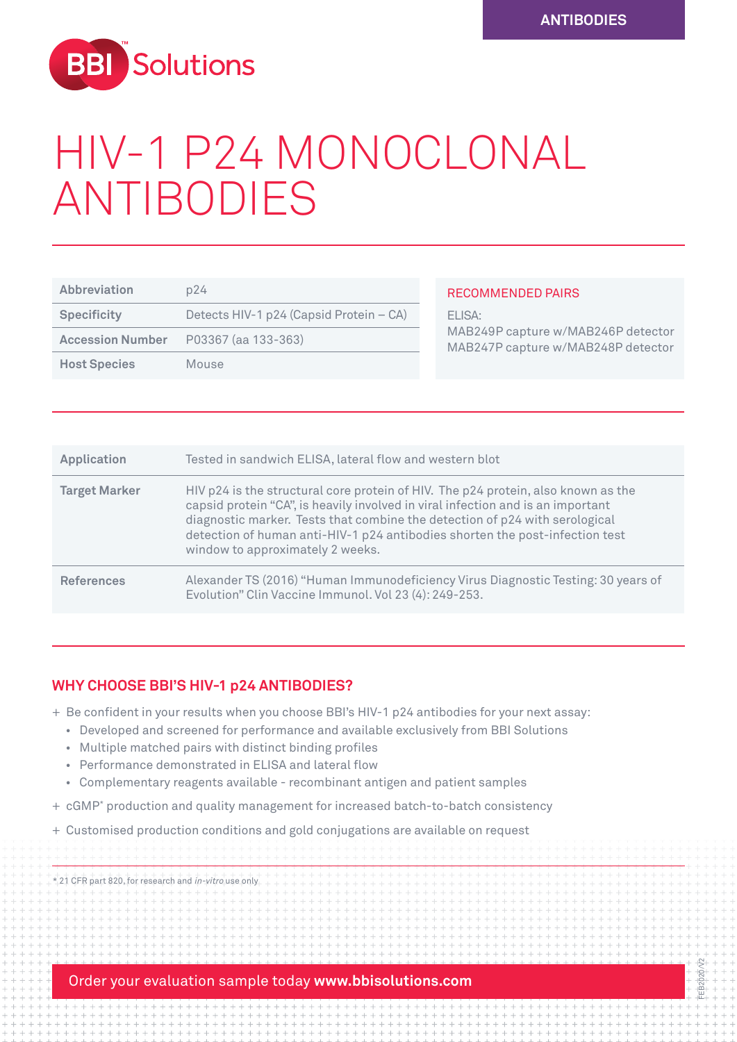FEB2020/V2

 $32020\sqrt{2}$ 



# HIV-1 P24 MONOCLONAL ANTIBODIES

| Abbreviation            | $p$ 24                                  |  | RECOMMENDED PAIRS                                                                               |  |
|-------------------------|-----------------------------------------|--|-------------------------------------------------------------------------------------------------|--|
| <b>Specificity</b>      | Detects HIV-1 p24 (Capsid Protein - CA) |  | FI ISA <sup>.</sup><br>MAB249P capture w/MAB246P detector<br>MAB247P capture w/MAB248P detector |  |
| <b>Accession Number</b> | P03367 (aa 133-363)                     |  |                                                                                                 |  |
| <b>Host Species</b>     | Mouse                                   |  |                                                                                                 |  |
|                         |                                         |  |                                                                                                 |  |

| <b>Application</b>   | Tested in sandwich ELISA, lateral flow and western blot                                                                                                                                                                                                                                                                                                                 |
|----------------------|-------------------------------------------------------------------------------------------------------------------------------------------------------------------------------------------------------------------------------------------------------------------------------------------------------------------------------------------------------------------------|
| <b>Target Marker</b> | HIV p24 is the structural core protein of HIV. The p24 protein, also known as the<br>capsid protein "CA", is heavily involved in viral infection and is an important<br>diagnostic marker. Tests that combine the detection of p24 with serological<br>detection of human anti-HIV-1 p24 antibodies shorten the post-infection test<br>window to approximately 2 weeks. |
| <b>References</b>    | Alexander TS (2016) "Human Immunodeficiency Virus Diagnostic Testing: 30 years of<br>Evolution" Clin Vaccine Immunol. Vol 23 (4): 249-253.                                                                                                                                                                                                                              |

## **WHY CHOOSE BBI'S HIV-1 p24 ANTIBODIES?**

\* 21 CFR part 820, for research and in-vitro use only

+ Be confident in your results when you choose BBI's HIV-1 p24 antibodies for your next assay:

- Developed and screened for performance and available exclusively from BBI Solutions
- Multiple matched pairs with distinct binding profiles
- Performance demonstrated in ELISA and lateral flow
- Complementary reagents available recombinant antigen and patient samples
- + cGMP\* production and quality management for increased batch-to-batch consistency
- + Customised production conditions and gold conjugations are available on request

Order your evaluation sample today **www.bbisolutions.com**